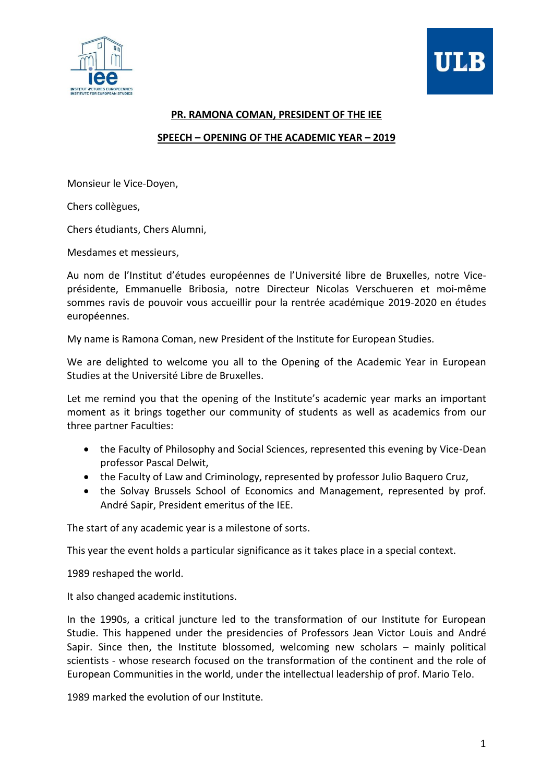



## **PR. RAMONA COMAN, PRESIDENT OF THE IEE**

## **SPEECH – OPENING OF THE ACADEMIC YEAR – 2019**

Monsieur le Vice-Doyen,

Chers collègues,

Chers étudiants, Chers Alumni,

Mesdames et messieurs,

Au nom de l'Institut d'études européennes de l'Université libre de Bruxelles, notre Viceprésidente, Emmanuelle Bribosia, notre Directeur Nicolas Verschueren et moi-même sommes ravis de pouvoir vous accueillir pour la rentrée académique 2019-2020 en études européennes.

My name is Ramona Coman, new President of the Institute for European Studies.

We are delighted to welcome you all to the Opening of the Academic Year in European Studies at the Université Libre de Bruxelles.

Let me remind you that the opening of the Institute's academic year marks an important moment as it brings together our community of students as well as academics from our three partner Faculties:

- the Faculty of Philosophy and Social Sciences, represented this evening by Vice-Dean professor Pascal Delwit,
- the Faculty of Law and Criminology, represented by professor Julio Baquero Cruz,
- the Solvay Brussels School of Economics and Management, represented by prof. André Sapir, President emeritus of the IEE.

The start of any academic year is a milestone of sorts.

This year the event holds a particular significance as it takes place in a special context.

1989 reshaped the world.

It also changed academic institutions.

In the 1990s, a critical juncture led to the transformation of our Institute for European Studie. This happened under the presidencies of Professors Jean Victor Louis and André Sapir. Since then, the Institute blossomed, welcoming new scholars – mainly political scientists - whose research focused on the transformation of the continent and the role of European Communities in the world, under the intellectual leadership of prof. Mario Telo.

1989 marked the evolution of our Institute.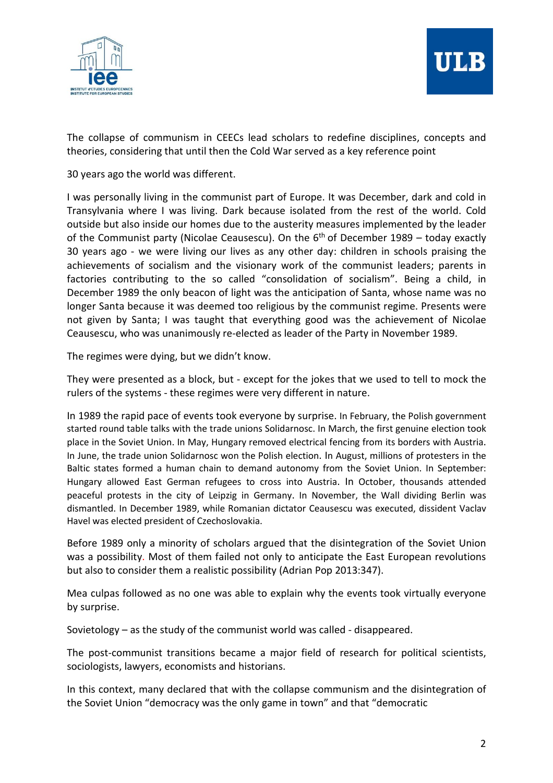

The collapse of communism in CEECs lead scholars to redefine disciplines, concepts and theories, considering that until then the Cold War served as a key reference point

30 years ago the world was different.

I was personally living in the communist part of Europe. It was December, dark and cold in Transylvania where I was living. Dark because isolated from the rest of the world. Cold outside but also inside our homes due to the austerity measures implemented by the leader of the Communist party (Nicolae Ceausescu). On the  $6<sup>th</sup>$  of December 1989 – today exactly 30 years ago - we were living our lives as any other day: children in schools praising the achievements of socialism and the visionary work of the communist leaders; parents in factories contributing to the so called "consolidation of socialism". Being a child, in December 1989 the only beacon of light was the anticipation of Santa, whose name was no longer Santa because it was deemed too religious by the communist regime. Presents were not given by Santa; I was taught that everything good was the achievement of Nicolae Ceausescu, who was unanimously re-elected as leader of the Party in November 1989.

The regimes were dying, but we didn't know.

They were presented as a block, but - except for the jokes that we used to tell to mock the rulers of the systems - these regimes were very different in nature.

In 1989 the rapid pace of events took everyone by surprise. In February, the Polish government started round table talks with the trade unions Solidarnosc. In March, the first genuine election took place in the Soviet Union. In May, Hungary removed electrical fencing from its borders with Austria. In June, the trade union Solidarnosc won the Polish election. In August, millions of protesters in the Baltic states formed a human chain to demand autonomy from the Soviet Union. In September: Hungary allowed East German refugees to cross into Austria. In October, thousands attended peaceful protests in the city of Leipzig in Germany. In November, the Wall dividing Berlin was dismantled. In December 1989, while Romanian dictator Ceausescu was executed, dissident Vaclav Havel was elected president of Czechoslovakia.

Before 1989 only a minority of scholars argued that the disintegration of the Soviet Union was a possibility. Most of them failed not only to anticipate the East European revolutions but also to consider them a realistic possibility (Adrian Pop 2013:347).

Mea culpas followed as no one was able to explain why the events took virtually everyone by surprise.

Sovietology – as the study of the communist world was called - disappeared.

The post-communist transitions became a major field of research for political scientists, sociologists, lawyers, economists and historians.

In this context, many declared that with the collapse communism and the disintegration of the Soviet Union "democracy was the only game in town" and that "democratic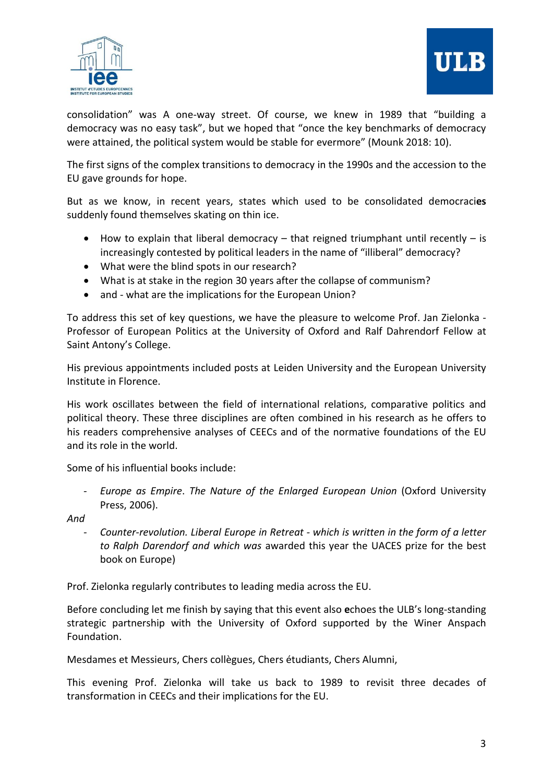



consolidation" was A one-way street. Of course, we knew in 1989 that "building a democracy was no easy task", but we hoped that "once the key benchmarks of democracy were attained, the political system would be stable for evermore" (Mounk 2018: 10).

The first signs of the complex transitions to democracy in the 1990s and the accession to the EU gave grounds for hope.

But as we know, in recent years, states which used to be consolidated democraci**es**  suddenly found themselves skating on thin ice.

- $\bullet$  How to explain that liberal democracy that reigned triumphant until recently is increasingly contested by political leaders in the name of "illiberal" democracy?
- What were the blind spots in our research?
- What is at stake in the region 30 years after the collapse of communism?
- and what are the implications for the European Union?

To address this set of key questions, we have the pleasure to welcome Prof. Jan Zielonka - Professor of European Politics at the University of Oxford and Ralf Dahrendorf Fellow at Saint Antony's College.

His previous appointments included posts at Leiden University and the European University Institute in Florence.

His work oscillates between the field of international relations, comparative politics and political theory. These three disciplines are often combined in his research as he offers to his readers comprehensive analyses of CEECs and of the normative foundations of the EU and its role in the world.

Some of his influential books include:

*- Europe as Empire*. *The Nature of the Enlarged European Union* (Oxford University Press, 2006).

*And* 

*- Counter-revolution. Liberal Europe in Retreat - which is written in the form of a letter to Ralph Darendorf and which was* awarded this year the UACES prize for the best book on Europe)

Prof. Zielonka regularly contributes to leading media across the EU.

Before concluding let me finish by saying that this event also **e**choes the ULB's long-standing strategic partnership with the University of Oxford supported by the Winer Anspach Foundation.

Mesdames et Messieurs, Chers collègues, Chers étudiants, Chers Alumni,

This evening Prof. Zielonka will take us back to 1989 to revisit three decades of transformation in CEECs and their implications for the EU.